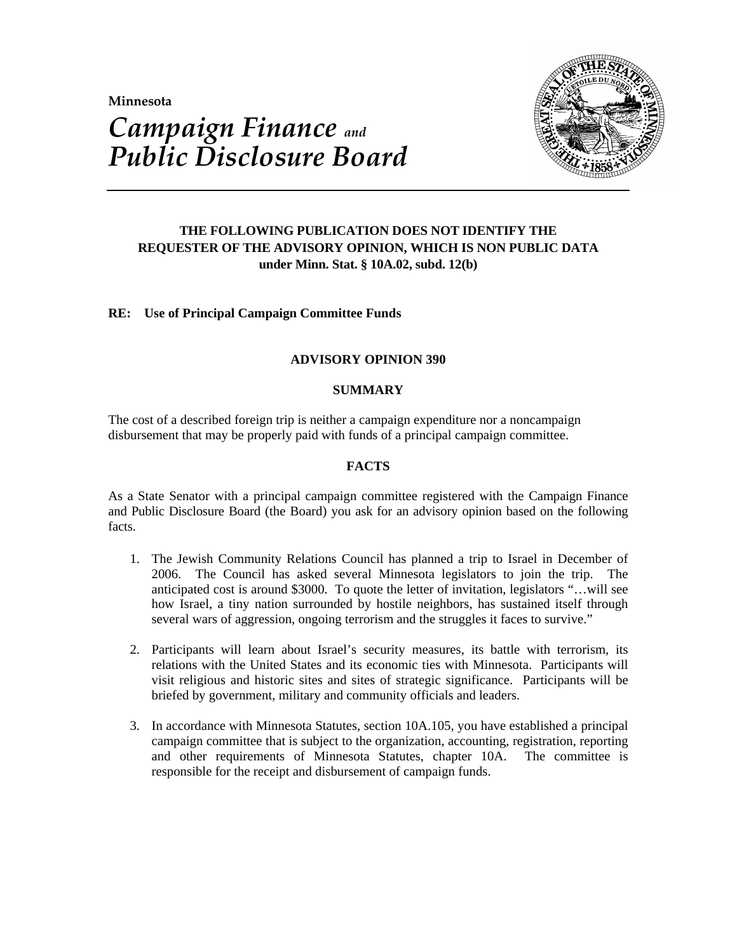**Minnesota** 



# *Campaign Finance and Public Disclosure Board*

# **THE FOLLOWING PUBLICATION DOES NOT IDENTIFY THE REQUESTER OF THE ADVISORY OPINION, WHICH IS NON PUBLIC DATA under Minn. Stat. § 10A.02, subd. 12(b)**

# **RE: Use of Principal Campaign Committee Funds**

# **ADVISORY OPINION 390**

## **SUMMARY**

The cost of a described foreign trip is neither a campaign expenditure nor a noncampaign disbursement that may be properly paid with funds of a principal campaign committee.

# **FACTS**

As a State Senator with a principal campaign committee registered with the Campaign Finance and Public Disclosure Board (the Board) you ask for an advisory opinion based on the following facts.

- 1. The Jewish Community Relations Council has planned a trip to Israel in December of 2006. The Council has asked several Minnesota legislators to join the trip. The anticipated cost is around \$3000. To quote the letter of invitation, legislators "…will see how Israel, a tiny nation surrounded by hostile neighbors, has sustained itself through several wars of aggression, ongoing terrorism and the struggles it faces to survive."
- 2. Participants will learn about Israel's security measures, its battle with terrorism, its relations with the United States and its economic ties with Minnesota. Participants will visit religious and historic sites and sites of strategic significance. Participants will be briefed by government, military and community officials and leaders.
- 3. In accordance with Minnesota Statutes, section 10A.105, you have established a principal campaign committee that is subject to the organization, accounting, registration, reporting and other requirements of Minnesota Statutes, chapter 10A. The committee is responsible for the receipt and disbursement of campaign funds.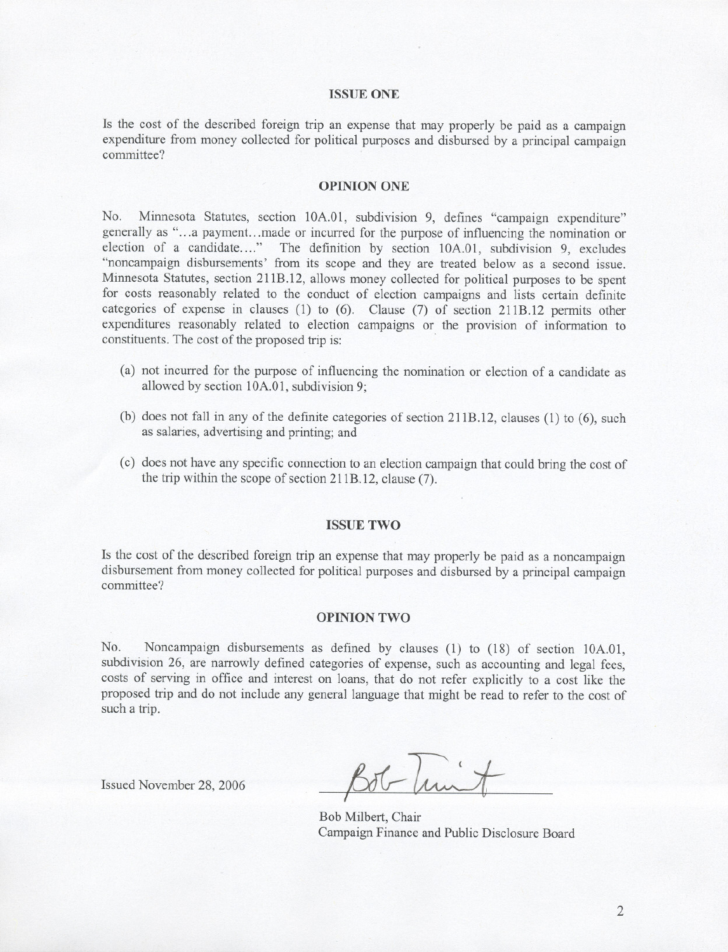#### **ISSUE ONE**

Is the cost of the described foreign trip an expense that may properly be paid as a campaign expenditure from money collected for political purposes and disbursed by a principal campaign committee?

#### **OPINION ONE**

No. Minnesota Statutes, section 10A.01, subdivision 9, defines "campaign expenditure" generally as "...a payment.. .made or incurred for the purpose of influencing the nomination or election of a candidate...." The definition by section 10A.01, subdivision 9, excludes "noncampaign disbursements' from its scope and they are treated below as a second issue. Minnesota Statutes, section 211B.12, allows money collected for political purposes to be spent for costs reasonably related to the conduct of election campaigns and lists certain definite categories of expense in clauses (I) to (6). Clause (7) of section 211B.12 permits other expenditures reasonably related to election campaigns or the provision of information to constituents. The cost of the proposed trip is:

- (a) not incurred for the purpose of influencing the nomination or election of a candidate as allowed by section 10A.01, subdivision 9;
- (b) does not fall in any of the definite categories of section 211B.12, clauses (1) to (6), such as salaries, advertising and printing; and
- (c) does not have any specific connection to an election campaign that could bring the cost of the trip within the scope of section 211B.12, clause (7).

#### **ISSUE TWO**

Is the cost of the described foreign trip an expense that may properly be paid as a noncampaign disbursement from money collected for political purposes and disbursed by a principal campaign committee?

#### **OPINION TWO**

No. Noncampaign disbursements as defined by clauses (1) to (18) of section 10A.01, subdivision 26, are narrowly defined categories of expense, such as accounting and legal fees, costs of serving in office and interest on loans, that do not refer explicitly to a cost like the proposed trip and do not include any general language that might be read to refer to the cost of such a trip.

Issued November 28, 2006

Bob Milbert, Chair Campaign Finance and Public Disclosure Board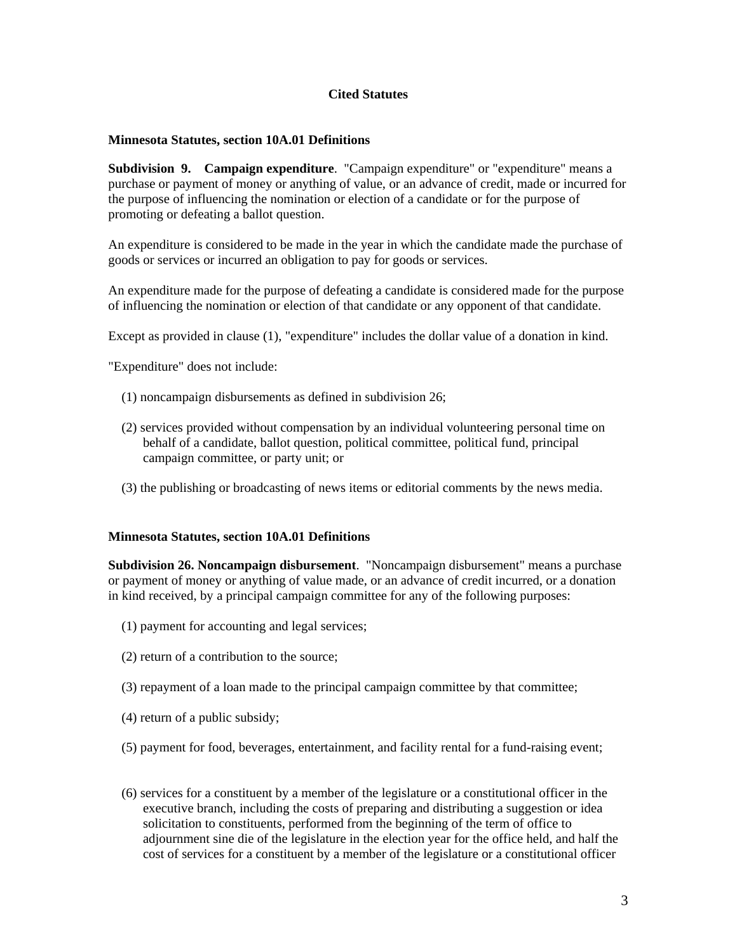## **Cited Statutes**

## **Minnesota Statutes, section 10A.01 Definitions**

**Subdivision 9. Campaign expenditure**. "Campaign expenditure" or "expenditure" means a purchase or payment of money or anything of value, or an advance of credit, made or incurred for the purpose of influencing the nomination or election of a candidate or for the purpose of promoting or defeating a ballot question.

An expenditure is considered to be made in the year in which the candidate made the purchase of goods or services or incurred an obligation to pay for goods or services.

An expenditure made for the purpose of defeating a candidate is considered made for the purpose of influencing the nomination or election of that candidate or any opponent of that candidate.

Except as provided in clause (1), "expenditure" includes the dollar value of a donation in kind.

"Expenditure" does not include:

- (1) noncampaign disbursements as defined in subdivision 26;
- (2) services provided without compensation by an individual volunteering personal time on behalf of a candidate, ballot question, political committee, political fund, principal campaign committee, or party unit; or
- (3) the publishing or broadcasting of news items or editorial comments by the news media.

### **Minnesota Statutes, section 10A.01 Definitions**

**Subdivision 26. Noncampaign disbursement**. "Noncampaign disbursement" means a purchase or payment of money or anything of value made, or an advance of credit incurred, or a donation in kind received, by a principal campaign committee for any of the following purposes:

- (1) payment for accounting and legal services;
- (2) return of a contribution to the source;
- (3) repayment of a loan made to the principal campaign committee by that committee;
- (4) return of a public subsidy;
- (5) payment for food, beverages, entertainment, and facility rental for a fund-raising event;
- (6) services for a constituent by a member of the legislature or a constitutional officer in the executive branch, including the costs of preparing and distributing a suggestion or idea solicitation to constituents, performed from the beginning of the term of office to adjournment sine die of the legislature in the election year for the office held, and half the cost of services for a constituent by a member of the legislature or a constitutional officer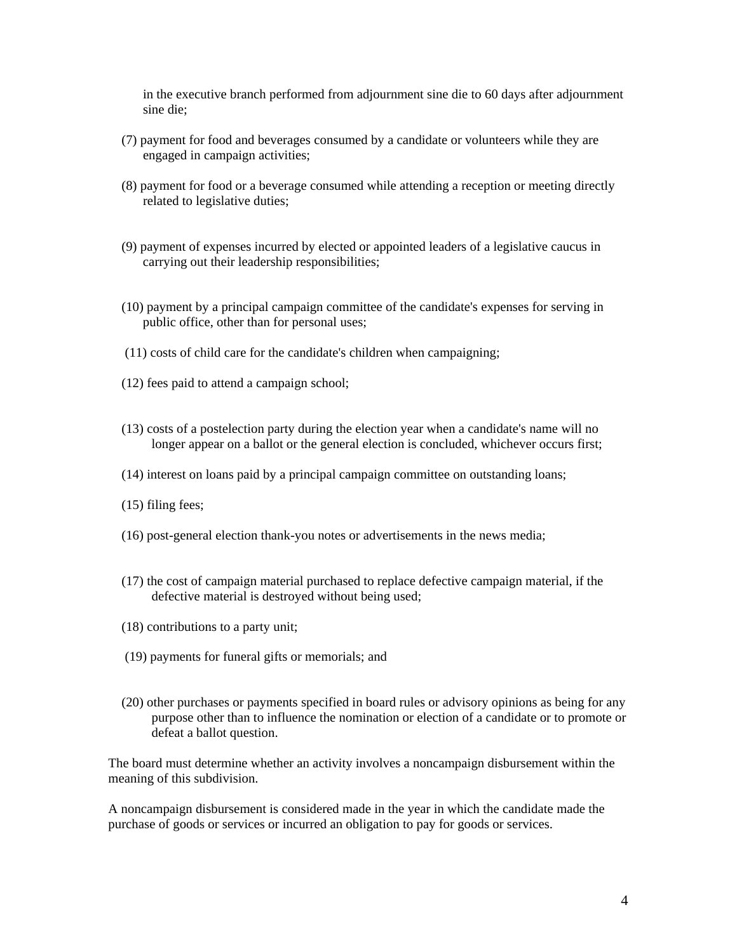in the executive branch performed from adjournment sine die to 60 days after adjournment sine die;

- (7) payment for food and beverages consumed by a candidate or volunteers while they are engaged in campaign activities;
- (8) payment for food or a beverage consumed while attending a reception or meeting directly related to legislative duties;
- (9) payment of expenses incurred by elected or appointed leaders of a legislative caucus in carrying out their leadership responsibilities;
- (10) payment by a principal campaign committee of the candidate's expenses for serving in public office, other than for personal uses;
- (11) costs of child care for the candidate's children when campaigning;
- (12) fees paid to attend a campaign school;
- (13) costs of a postelection party during the election year when a candidate's name will no longer appear on a ballot or the general election is concluded, whichever occurs first;
- (14) interest on loans paid by a principal campaign committee on outstanding loans;
- (15) filing fees;
- (16) post-general election thank-you notes or advertisements in the news media;
- (17) the cost of campaign material purchased to replace defective campaign material, if the defective material is destroyed without being used;
- (18) contributions to a party unit;
- (19) payments for funeral gifts or memorials; and
- (20) other purchases or payments specified in board rules or advisory opinions as being for any purpose other than to influence the nomination or election of a candidate or to promote or defeat a ballot question.

The board must determine whether an activity involves a noncampaign disbursement within the meaning of this subdivision.

A noncampaign disbursement is considered made in the year in which the candidate made the purchase of goods or services or incurred an obligation to pay for goods or services.